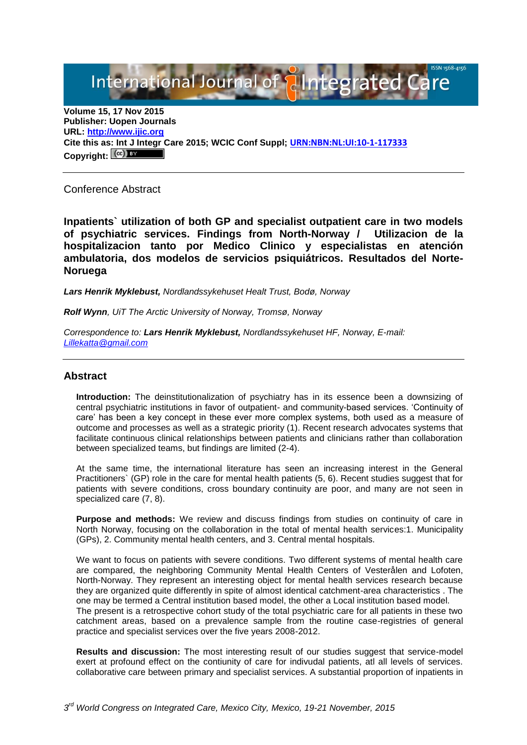International Journal of **Elntegrated Care** 

**Volume 15, 17 Nov 2015 Publisher: Uopen Journals URL: [http://www.ijic.org](http://www.ijic.org/) Cite this as: Int J Integr Care 2015; WCIC Conf Suppl; [URN:NBN:NL:UI:10-1-117333](http://persistent-identifier.nl/?identifier=URN:NBN:NL:UI:10-1-117333)** Copyright:  $(Cc)$ 

Conference Abstract

**Inpatients` utilization of both GP and specialist outpatient care in two models of psychiatric services. Findings from North-Norway / Utilizacion de la hospitalizacion tanto por Medico Clinico y especialistas en atención ambulatoria, dos modelos de servicios psiquiátricos. Resultados del Norte-Noruega**

*Lars Henrik Myklebust, Nordlandssykehuset Healt Trust, Bodø, Norway*

*Rolf Wynn, UiT The Arctic University of Norway, Tromsø, Norway*

*Correspondence to: Lars Henrik Myklebust, Nordlandssykehuset HF, Norway, E-mail: [Lillekatta@gmail.com](mailto:Lillekatta@gmail.com)*

#### **Abstract**

**Introduction:** The deinstitutionalization of psychiatry has in its essence been a downsizing of central psychiatric institutions in favor of outpatient- and community-based services. 'Continuity of care' has been a key concept in these ever more complex systems, both used as a measure of outcome and processes as well as a strategic priority (1). Recent research advocates systems that facilitate continuous clinical relationships between patients and clinicians rather than collaboration between specialized teams, but findings are limited (2-4).

At the same time, the international literature has seen an increasing interest in the General Practitioners` (GP) role in the care for mental health patients (5, 6). Recent studies suggest that for patients with severe conditions, cross boundary continuity are poor, and many are not seen in specialized care (7, 8).

**Purpose and methods:** We review and discuss findings from studies on continuity of care in North Norway, focusing on the collaboration in the total of mental health services:1. Municipality (GPs), 2. Community mental health centers, and 3. Central mental hospitals.

We want to focus on patients with severe conditions. Two different systems of mental health care are compared, the neighboring Community Mental Health Centers of Vesterålen and Lofoten, North-Norway. They represent an interesting object for mental health services research because they are organized quite differently in spite of almost identical catchment-area characteristics . The one may be termed a Central institution based model, the other a Local institution based model. The present is a retrospective cohort study of the total psychiatric care for all patients in these two catchment areas, based on a prevalence sample from the routine case-registries of general practice and specialist services over the five years 2008-2012.

**Results and discussion:** The most interesting result of our studies suggest that service-model exert at profound effect on the contiunity of care for indivudal patients, atl all levels of services. collaborative care between primary and specialist services. A substantial proportion of inpatients in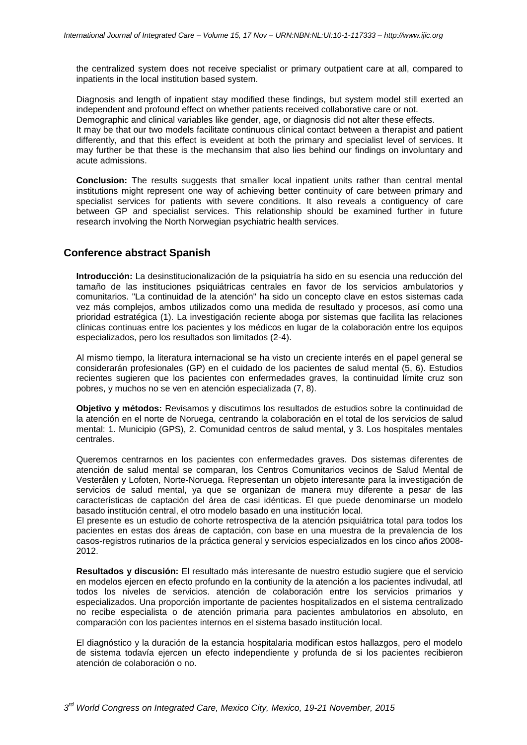the centralized system does not receive specialist or primary outpatient care at all, compared to inpatients in the local institution based system.

Diagnosis and length of inpatient stay modified these findings, but system model still exerted an independent and profound effect on whether patients received collaborative care or not. Demographic and clinical variables like gender, age, or diagnosis did not alter these effects. It may be that our two models facilitate continuous clinical contact between a therapist and patient differently, and that this effect is eveident at both the primary and specialist level of services. It may further be that these is the mechansim that also lies behind our findings on involuntary and acute admissions.

**Conclusion:** The results suggests that smaller local inpatient units rather than central mental institutions might represent one way of achieving better continuity of care between primary and specialist services for patients with severe conditions. It also reveals a contiguency of care between GP and specialist services. This relationship should be examined further in future research involving the North Norwegian psychiatric health services.

# **Conference abstract Spanish**

**Introducción:** La desinstitucionalización de la psiquiatría ha sido en su esencia una reducción del tamaño de las instituciones psiquiátricas centrales en favor de los servicios ambulatorios y comunitarios. "La continuidad de la atención" ha sido un concepto clave en estos sistemas cada vez más complejos, ambos utilizados como una medida de resultado y procesos, así como una prioridad estratégica (1). La investigación reciente aboga por sistemas que facilita las relaciones clínicas continuas entre los pacientes y los médicos en lugar de la colaboración entre los equipos especializados, pero los resultados son limitados (2-4).

Al mismo tiempo, la literatura internacional se ha visto un creciente interés en el papel general se considerarán profesionales (GP) en el cuidado de los pacientes de salud mental (5, 6). Estudios recientes sugieren que los pacientes con enfermedades graves, la continuidad límite cruz son pobres, y muchos no se ven en atención especializada (7, 8).

**Objetivo y métodos:** Revisamos y discutimos los resultados de estudios sobre la continuidad de la atención en el norte de Noruega, centrando la colaboración en el total de los servicios de salud mental: 1. Municipio (GPS), 2. Comunidad centros de salud mental, y 3. Los hospitales mentales centrales.

Queremos centrarnos en los pacientes con enfermedades graves. Dos sistemas diferentes de atención de salud mental se comparan, los Centros Comunitarios vecinos de Salud Mental de Vesterålen y Lofoten, Norte-Noruega. Representan un objeto interesante para la investigación de servicios de salud mental, ya que se organizan de manera muy diferente a pesar de las características de captación del área de casi idénticas. El que puede denominarse un modelo basado institución central, el otro modelo basado en una institución local.

El presente es un estudio de cohorte retrospectiva de la atención psiquiátrica total para todos los pacientes en estas dos áreas de captación, con base en una muestra de la prevalencia de los casos-registros rutinarios de la práctica general y servicios especializados en los cinco años 2008- 2012.

**Resultados y discusión:** El resultado más interesante de nuestro estudio sugiere que el servicio en modelos ejercen en efecto profundo en la contiunity de la atención a los pacientes indivudal, atl todos los niveles de servicios. atención de colaboración entre los servicios primarios y especializados. Una proporción importante de pacientes hospitalizados en el sistema centralizado no recibe especialista o de atención primaria para pacientes ambulatorios en absoluto, en comparación con los pacientes internos en el sistema basado institución local.

El diagnóstico y la duración de la estancia hospitalaria modifican estos hallazgos, pero el modelo de sistema todavía ejercen un efecto independiente y profunda de si los pacientes recibieron atención de colaboración o no.